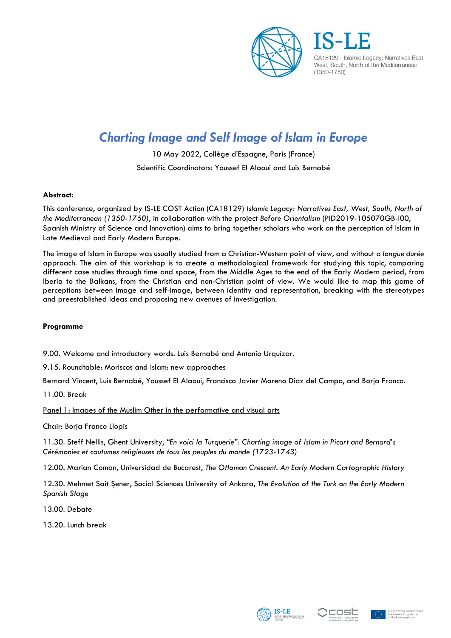

CA18129 - Islamic Legacy: Narratives East, West, South, North of the Mediterranean  $(1350 - 1750)$ 

# *Charting Image and Self Image of Islam in Europe*

10 May 2022, Collège d'Espagne, Paris (France) Scientific Coordinators: Youssef El Alaoui and Luis Bernabé

## **Abstract:**

This conference, organized by IS-LE COST Action (CA18129) *Islamic Legacy: Narratives East, West, South, North of the Mediterranean (1350-1750)*, in collaboration with the project *Before Orientalism* (PID2019-105070GB-I00, Spanish Ministry of Science and Innovation) aims to bring together scholars who work on the perception of Islam in Late Medieval and Early Modern Europe.

The image of Islam in Europe was usually studied from a Christian-Western point of view, and without a *longue durée* approach. The aim of this workshop is to create a methodological framework for studying this topic, comparing different case studies through time and space, from the Middle Ages to the end of the Early Modern period, from Iberia to the Balkans, from the Christian and non-Christian point of view. We would like to map this game of perceptions between image and self-image, between identity and representation, breaking with the stereotypes and preestablished ideas and proposing new avenues of investigation.

### **Programme**

9.00. Welcome and introductory words. Luis Bernabé and Antonio Urquízar.

9.15. Roundtable: Moriscos and Islam: new approaches

Bernard Vincent, Luis Bernabé, Youssef El Alaoui, Francisco Javier Moreno Díaz del Campo, and Borja Franco.

11.00. Break

Panel 1: Images of the Muslim Other in the performative and visual arts

Chair: Borja Franco Llopis

11.30. Steff Nellis, Ghent University, *"En voici la Turquerie": Charting image of Islam in Picart and Bernard's Cérémonies et coutumes religieuses de tous les peuples du monde (1723-1743)* 

12.00. Marian Coman, Universidad de Bucarest, *The Ottoman Crescent. An Early Modern Cartographic History* 

12.30. Mehmet Sait Şener, Social Sciences University of Ankara, *The Evolution of the Turk on the Early Modern Spanish Stage*

13.00. Debate

13.20. Lunch break